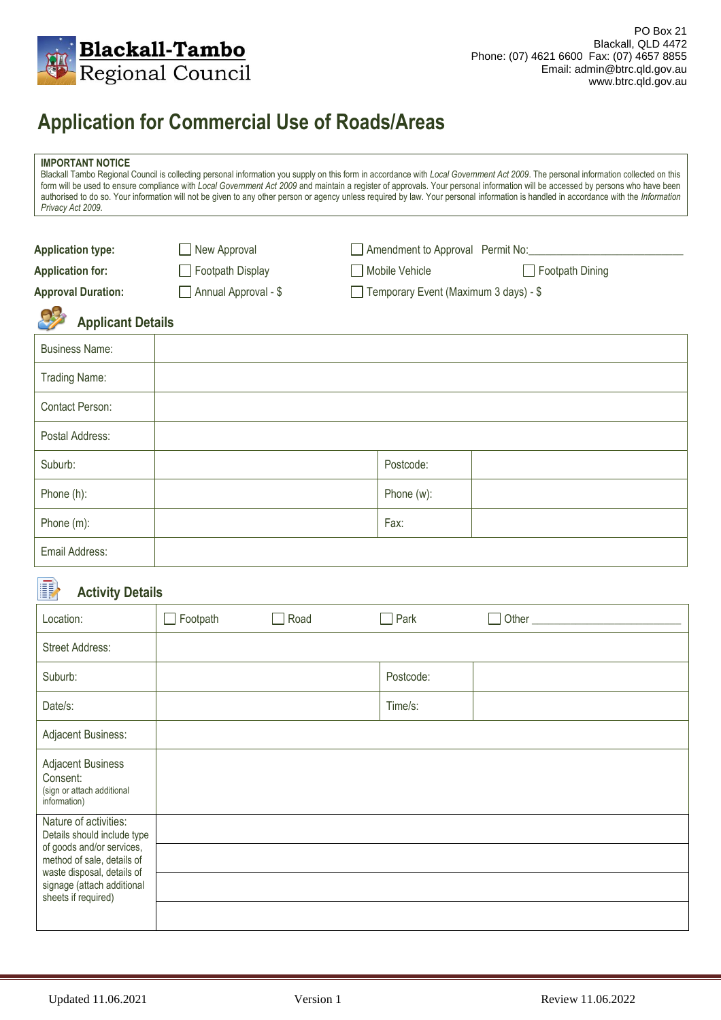

## **Application for Commercial Use of Roads/Areas**

| <b>IMPORTANT NOTICE</b><br>Blackall Tambo Regional Council is collecting personal information you supply on this form in accordance with Local Government Act 2009. The personal information collected on this<br>form will be used to ensure compliance with Local Government Act 2009 and maintain a register of approvals. Your personal information will be accessed by persons who have been<br>authorised to do so. Your information will not be given to any other person or agency unless required by law. Your personal information is handled in accordance with the Information<br>Privacy Act 2009. |                      |                                       |                 |  |  |  |  |
|-----------------------------------------------------------------------------------------------------------------------------------------------------------------------------------------------------------------------------------------------------------------------------------------------------------------------------------------------------------------------------------------------------------------------------------------------------------------------------------------------------------------------------------------------------------------------------------------------------------------|----------------------|---------------------------------------|-----------------|--|--|--|--|
| <b>Application type:</b>                                                                                                                                                                                                                                                                                                                                                                                                                                                                                                                                                                                        | New Approval         | Amendment to Approval Permit No:      |                 |  |  |  |  |
| <b>Application for:</b>                                                                                                                                                                                                                                                                                                                                                                                                                                                                                                                                                                                         | Footpath Display     | Mobile Vehicle                        | Footpath Dining |  |  |  |  |
| <b>Approval Duration:</b>                                                                                                                                                                                                                                                                                                                                                                                                                                                                                                                                                                                       | Annual Approval - \$ | Temporary Event (Maximum 3 days) - \$ |                 |  |  |  |  |
| <b>Applicant Details</b>                                                                                                                                                                                                                                                                                                                                                                                                                                                                                                                                                                                        |                      |                                       |                 |  |  |  |  |
| <b>Business Name:</b>                                                                                                                                                                                                                                                                                                                                                                                                                                                                                                                                                                                           |                      |                                       |                 |  |  |  |  |
| Trading Name:                                                                                                                                                                                                                                                                                                                                                                                                                                                                                                                                                                                                   |                      |                                       |                 |  |  |  |  |
| Contact Person:                                                                                                                                                                                                                                                                                                                                                                                                                                                                                                                                                                                                 |                      |                                       |                 |  |  |  |  |
| Postal Address:                                                                                                                                                                                                                                                                                                                                                                                                                                                                                                                                                                                                 |                      |                                       |                 |  |  |  |  |
| Suburb:                                                                                                                                                                                                                                                                                                                                                                                                                                                                                                                                                                                                         |                      | Postcode:                             |                 |  |  |  |  |
| Phone (h):                                                                                                                                                                                                                                                                                                                                                                                                                                                                                                                                                                                                      |                      | Phone (w):                            |                 |  |  |  |  |
| Phone (m):                                                                                                                                                                                                                                                                                                                                                                                                                                                                                                                                                                                                      |                      | Fax:                                  |                 |  |  |  |  |
| Email Address:                                                                                                                                                                                                                                                                                                                                                                                                                                                                                                                                                                                                  |                      |                                       |                 |  |  |  |  |

#### B) **Activity Details**

| Location:                                                                                                                                                                                          | Footpath | Road | Park      | <b>Other Community</b> |
|----------------------------------------------------------------------------------------------------------------------------------------------------------------------------------------------------|----------|------|-----------|------------------------|
| <b>Street Address:</b>                                                                                                                                                                             |          |      |           |                        |
| Suburb:                                                                                                                                                                                            |          |      | Postcode: |                        |
| Date/s:                                                                                                                                                                                            |          |      | Time/s:   |                        |
| Adjacent Business:                                                                                                                                                                                 |          |      |           |                        |
| <b>Adjacent Business</b><br>Consent:<br>(sign or attach additional<br>information)                                                                                                                 |          |      |           |                        |
| Nature of activities:<br>Details should include type<br>of goods and/or services,<br>method of sale, details of<br>waste disposal, details of<br>signage (attach additional<br>sheets if required) |          |      |           |                        |